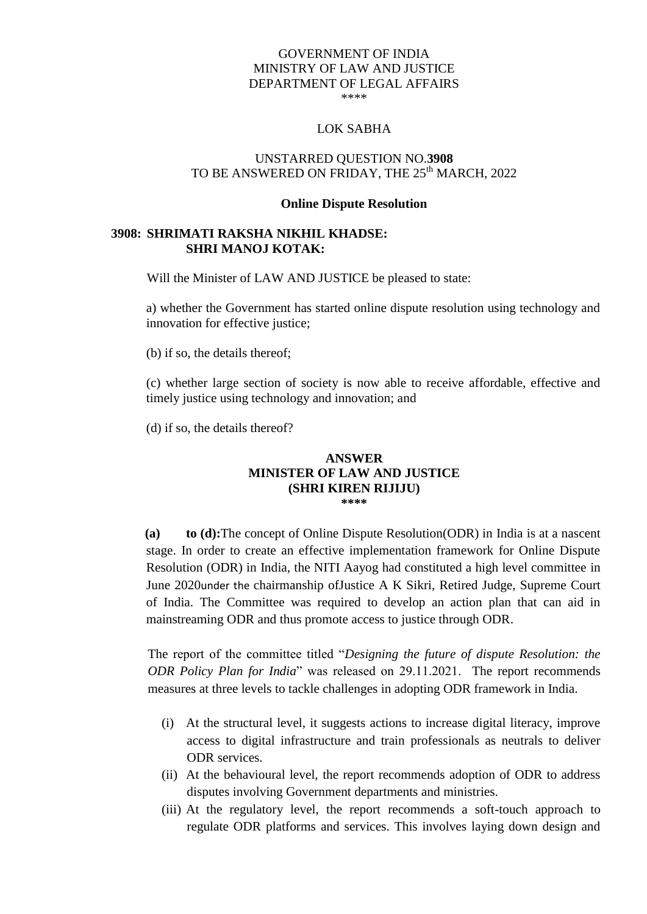## GOVERNMENT OF INDIA MINISTRY OF LAW AND JUSTICE DEPARTMENT OF LEGAL AFFAIRS \*\*\*\*

# LOK SABHA

# UNSTARRED QUESTION NO.**3908** TO BE ANSWERED ON FRIDAY, THE 25<sup>th</sup> MARCH, 2022

#### **Online Dispute Resolution**

# **3908: SHRIMATI RAKSHA NIKHIL KHADSE: SHRI MANOJ KOTAK:**

Will the Minister of LAW AND JUSTICE be pleased to state:

a) whether the Government has started online dispute resolution using technology and innovation for effective justice;

(b) if so, the details thereof;

(c) whether large section of society is now able to receive affordable, effective and timely justice using technology and innovation; and

(d) if so, the details thereof?

## **ANSWER MINISTER OF LAW AND JUSTICE (SHRI KIREN RIJIJU) \*\*\*\***

**(a) to (d):**The concept of Online Dispute Resolution(ODR) in India is at a nascent stage. In order to create an effective implementation framework for Online Dispute Resolution (ODR) in India, the NITI Aayog had constituted a high level committee in June 2020under the chairmanship ofJustice A K Sikri, Retired Judge, Supreme Court of India. The Committee was required to develop an action plan that can aid in mainstreaming ODR and thus promote access to justice through ODR.

The report of the committee titled "*Designing the future of dispute Resolution: the ODR Policy Plan for India*" was released on 29.11.2021. The report recommends measures at three levels to tackle challenges in adopting ODR framework in India.

- (i) At the structural level, it suggests actions to increase digital literacy, improve access to digital infrastructure and train professionals as neutrals to deliver ODR services.
- (ii) At the behavioural level, the report recommends adoption of ODR to address disputes involving Government departments and ministries.
- (iii) At the regulatory level, the report recommends a soft-touch approach to regulate ODR platforms and services. This involves laying down design and